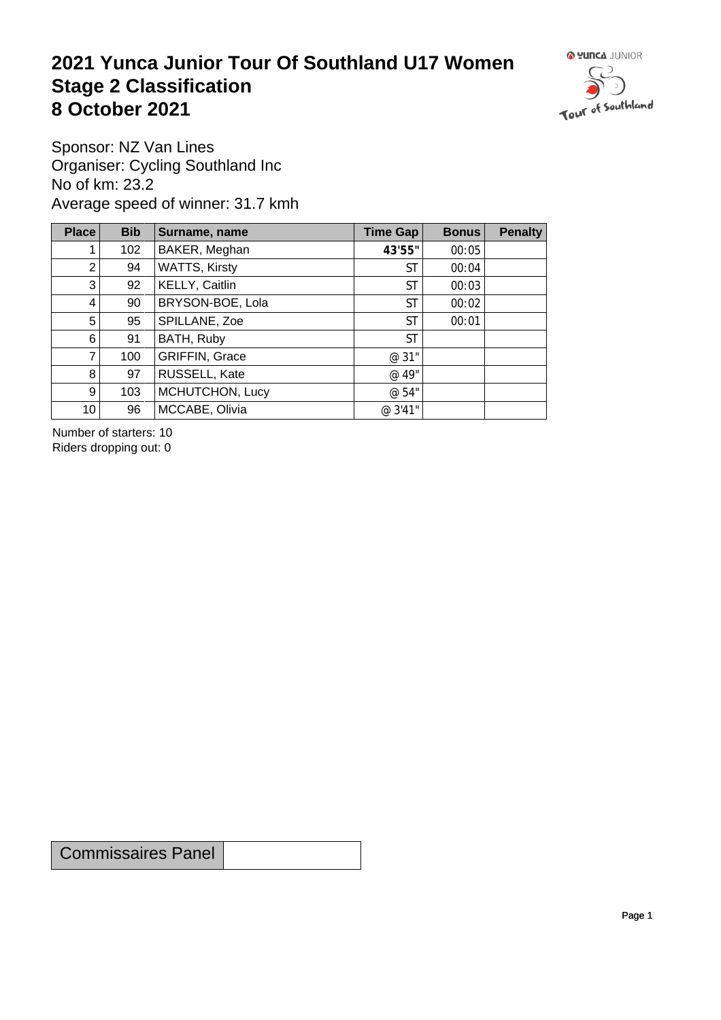## **2021 Yunca Junior Tour Of Southland U17 Women** Stage 2 Classification<br>8 October 2021 **8 October 2021**



Sponsor: NZ Van Lines Organiser: Cycling Southland Inc No of km: 23.2 Average speed of winner: 31.7 kmh

| Place           | <b>Bib</b> | Surname, name         | Time Gap  | <b>Bonus</b> | <b>Penalty</b> |
|-----------------|------------|-----------------------|-----------|--------------|----------------|
| 1.              | 102        | BAKER, Meghan         | 43'55"    | 00:05        |                |
| 2 <sup>2</sup>  | 94         | <b>WATTS, Kirsty</b>  | <b>ST</b> | 00:04        |                |
| 3               | 92         | KELLY, Caitlin        | ST        | 00:03        |                |
| 4               | 90         | BRYSON-BOE, Lola      | <b>ST</b> | 00:02        |                |
| 5 <sup>1</sup>  | 95         | SPILLANE, Zoe         | <b>ST</b> | 00:01        |                |
| 6               | 91         | BATH, Ruby            | <b>ST</b> |              |                |
| $\overline{7}$  | 100        | <b>GRIFFIN, Grace</b> | @ 31"     |              |                |
| 8               | 97         | RUSSELL, Kate         | @ 49"     |              |                |
| 9 <sup>°</sup>  | 103        | MCHUTCHON, Lucy       | @ 54"     |              |                |
| 10 <sup>1</sup> | 96         | MCCABE, Olivia        | @ 3'41"   |              |                |

Number of starters: 10 Riders dropping out: 0

Commissaires Panel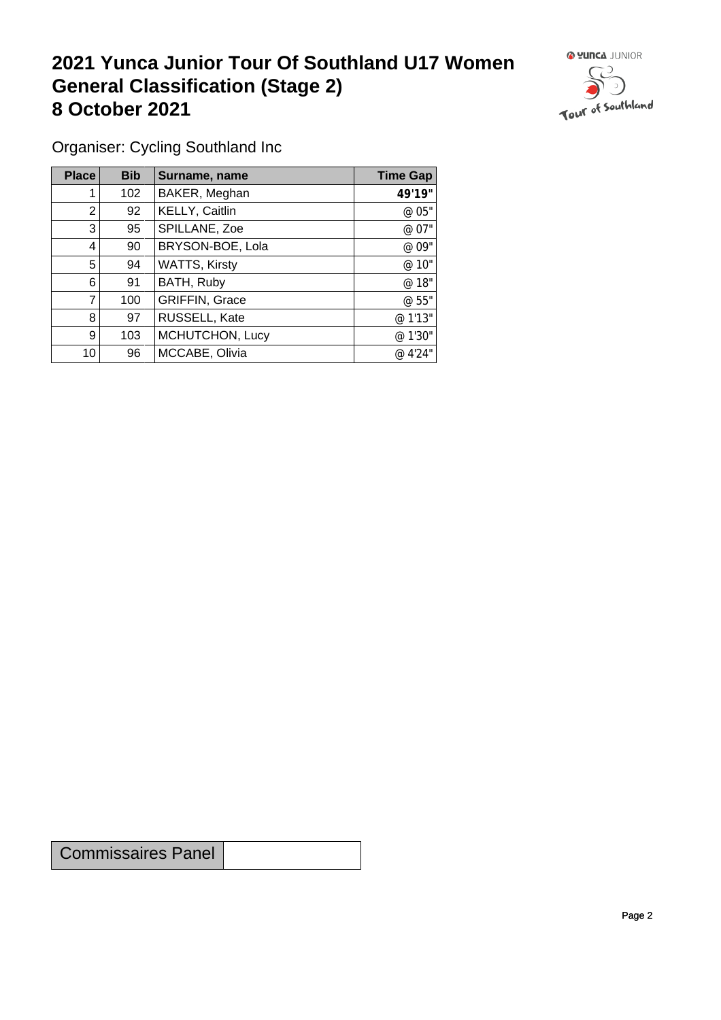## **2021 Yunca Junior Tour Of Southland U17 Women General Classification (Stage 2)**<br> **8 October 2021 8 October 2021**



Organiser: Cycling Southland Inc

| Place          | <b>Bib</b> | Surname, name        | <b>Time Gap</b> |
|----------------|------------|----------------------|-----------------|
|                | 102        | BAKER, Meghan        | 49'19"          |
| 2              | 92         | KELLY, Caitlin       | @ 05"           |
| 3              | 95         | SPILLANE, Zoe        | @ 07"           |
| 4              | 90         | BRYSON-BOE, Lola     | @ 09"           |
| 5              | 94         | <b>WATTS, Kirsty</b> | @ 10"           |
| 6              | 91         | BATH, Ruby           | @ 18"           |
| $\overline{7}$ | 100        | GRIFFIN, Grace       | @ 55"           |
| 8              | 97         | RUSSELL, Kate        | @ 1'13"         |
| 9              | 103        | MCHUTCHON, Lucy      | @ 1'30"         |
| 10             | 96         | MCCABE, Olivia       | @ 4'24"         |

Commissaires Panel